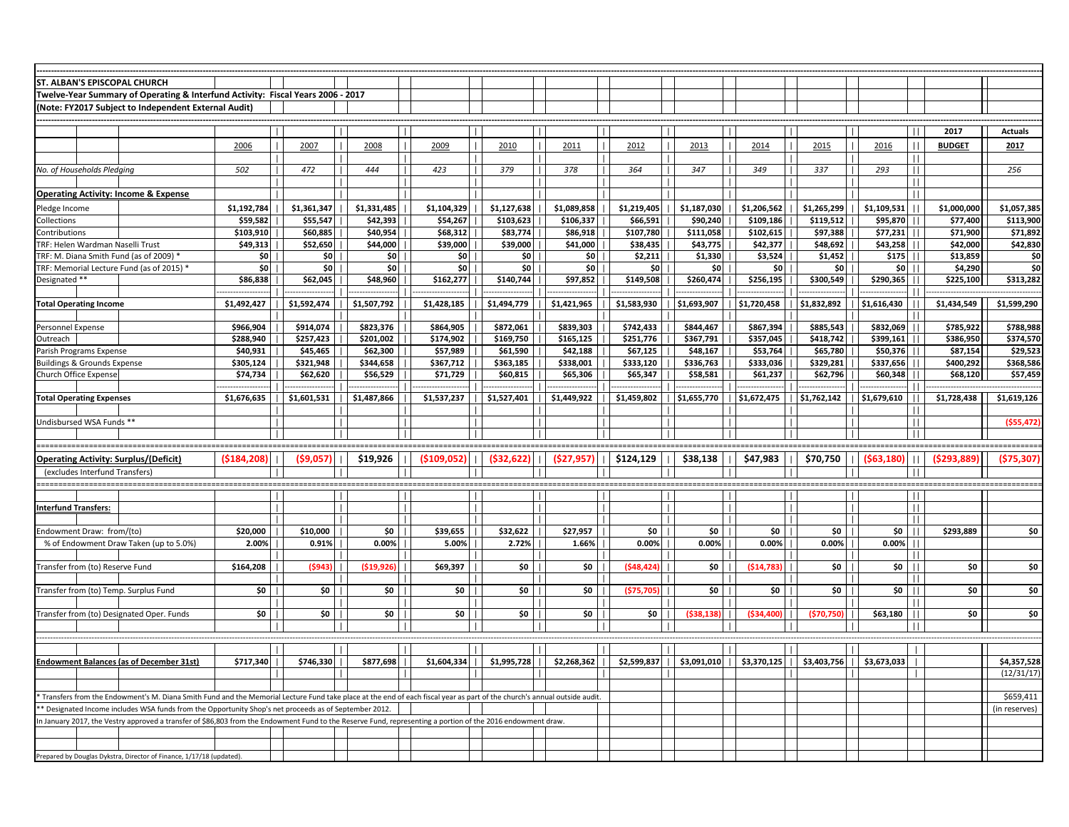| ST. ALBAN'S EPISCOPAL CHURCH                                                                                                                                             |             |             |                              |                        |              |             |             |                            |             |                                                                                                                                                                                                                                                                                                                                                                                                                                        |                |              |                  |                |
|--------------------------------------------------------------------------------------------------------------------------------------------------------------------------|-------------|-------------|------------------------------|------------------------|--------------|-------------|-------------|----------------------------|-------------|----------------------------------------------------------------------------------------------------------------------------------------------------------------------------------------------------------------------------------------------------------------------------------------------------------------------------------------------------------------------------------------------------------------------------------------|----------------|--------------|------------------|----------------|
| Twelve-Year Summary of Operating & Interfund Activity: Fiscal Years 2006 - 2017                                                                                          |             |             |                              |                        |              |             |             |                            |             |                                                                                                                                                                                                                                                                                                                                                                                                                                        |                |              |                  |                |
| Note: FY2017 Subject to Independent External Audit)                                                                                                                      |             |             |                              |                        |              |             |             |                            |             |                                                                                                                                                                                                                                                                                                                                                                                                                                        |                |              |                  |                |
|                                                                                                                                                                          |             |             |                              |                        |              |             |             |                            |             |                                                                                                                                                                                                                                                                                                                                                                                                                                        |                |              |                  |                |
|                                                                                                                                                                          |             |             |                              |                        |              |             |             |                            |             |                                                                                                                                                                                                                                                                                                                                                                                                                                        |                |              | 2017             | <b>Actuals</b> |
|                                                                                                                                                                          | 2006        | 2007        | 2008                         | 2009<br>$\overline{1}$ | 2010         | 2011        | 2012        | 2013                       | 2014        | 2015                                                                                                                                                                                                                                                                                                                                                                                                                                   | 2016           | H            | <b>BUDGET</b>    | 2017           |
|                                                                                                                                                                          |             |             |                              |                        |              |             |             |                            |             |                                                                                                                                                                                                                                                                                                                                                                                                                                        |                | Ш            |                  |                |
| No. of Households Pledging                                                                                                                                               | 502         | 472         | 444                          | 423<br>$\mathbf{I}$    | 379          | 378         | 364         | 347                        | 349         | 337                                                                                                                                                                                                                                                                                                                                                                                                                                    | 293            | $\perp$      |                  | 256            |
|                                                                                                                                                                          |             |             |                              | -1                     |              |             |             |                            |             |                                                                                                                                                                                                                                                                                                                                                                                                                                        |                | -11          |                  |                |
| <b>Operating Activity: Income &amp; Expense</b>                                                                                                                          |             |             |                              |                        |              |             |             |                            |             |                                                                                                                                                                                                                                                                                                                                                                                                                                        |                | $\mathbf{I}$ |                  |                |
| Pledge Income                                                                                                                                                            | \$1,192,784 | \$1,361,347 | \$1,331,485                  | \$1,104,329            | \$1,127,638  | \$1,089,858 | \$1,219,405 | \$1,187,030                | \$1,206,562 | \$1,265,299                                                                                                                                                                                                                                                                                                                                                                                                                            | \$1,109,531    |              | \$1,000,000      | \$1,057,385    |
| Collections                                                                                                                                                              | \$59,582    | \$55,547    | \$42,393                     | \$54,267               | \$103,623    | \$106,337   | \$66,591    | \$90,240                   | \$109,186   | \$119,512                                                                                                                                                                                                                                                                                                                                                                                                                              | \$95,870       |              | \$77,400         | \$113,900      |
| Contributions                                                                                                                                                            | \$103,910   | \$60,885    | \$40,954                     | \$68,312               | \$83,774     | \$86,918    | \$107,780   | \$111,058                  | \$102,615   | \$97,388                                                                                                                                                                                                                                                                                                                                                                                                                               | \$77,231       |              | \$71,900         | \$71,892       |
| TRF: Helen Wardman Naselli Trust                                                                                                                                         | \$49,313    | \$52,650    | \$44,000                     | \$39,000               | \$39,000     | \$41,000    | \$38,435    | \$43,775                   | \$42,377    | \$48,692                                                                                                                                                                                                                                                                                                                                                                                                                               | \$43,258       |              | \$42,000         | \$42,830       |
| TRF: M. Diana Smith Fund (as of 2009) *                                                                                                                                  | \$0 I       | \$0∣        | $$0$                         | \$0                    | \$0          | \$O         | \$2,211     | \$1,330                    | \$3,524     | \$1,452                                                                                                                                                                                                                                                                                                                                                                                                                                | \$175          |              | \$13,859         | \$0            |
| TRF: Memorial Lecture Fund (as of 2015) *                                                                                                                                | \$O         | \$0         | $\frac{1}{2}$                | \$O                    | \$0          | \$O         | \$0         | \$0                        | \$0         | \$0                                                                                                                                                                                                                                                                                                                                                                                                                                    | $50$           |              | \$4,290          |                |
| Designated **                                                                                                                                                            | \$86,838    | \$62,045    | \$48,960                     | $$162,277$             | \$140,744    | \$97,852    | \$149,508   | \$260,474                  | \$256,195   | \$300,549                                                                                                                                                                                                                                                                                                                                                                                                                              | \$290,365      |              | \$225,100        | \$313,282      |
|                                                                                                                                                                          |             |             |                              |                        |              |             |             |                            |             |                                                                                                                                                                                                                                                                                                                                                                                                                                        |                |              |                  |                |
| <b>Total Operating Income</b>                                                                                                                                            | \$1,492,427 | \$1,592,474 | \$1,507,792                  | \$1,428,185            | \$1,494,779  | \$1,421,965 | \$1,583,930 | $  $ \$1,693,907           | \$1,720,458 | $\frac{1}{51,832,892}$                                                                                                                                                                                                                                                                                                                                                                                                                 | \$1,616,430    |              | \$1,434,549      | \$1,599,290    |
|                                                                                                                                                                          |             |             |                              |                        |              |             |             |                            |             |                                                                                                                                                                                                                                                                                                                                                                                                                                        |                |              |                  |                |
| Personnel Expense                                                                                                                                                        | \$966,904   | \$914,074   | \$823,376                    | \$864,905              | \$872,061    | \$839,303   | \$742,433   | \$844,467                  | \$867,394   | \$885,543                                                                                                                                                                                                                                                                                                                                                                                                                              | \$832,069      |              | \$785,922        | \$788,988      |
| Outreach                                                                                                                                                                 | \$288.940   | \$257,423   | \$201.002                    | \$174,902              | \$169,750    | \$165,125   | \$251,776   | \$367,791                  | \$357,045   | \$418.742                                                                                                                                                                                                                                                                                                                                                                                                                              | \$399.161      |              | \$386,950        | \$374,570      |
| Parish Programs Expense                                                                                                                                                  | \$40,931    | \$45,465    | \$62,300                     | \$57,989               | \$61,590     | \$42,188    | \$67,125    | \$48,167                   | \$53,764    | \$65,780                                                                                                                                                                                                                                                                                                                                                                                                                               | \$50,376       |              | \$87,154         | \$29,523       |
| Buildings & Grounds Expense                                                                                                                                              | \$305,124   | \$321,948   | \$344,658                    | \$367,712              | \$363,185    | \$338,001   | \$333,120   | \$336,763                  | \$333,036   | $$329,281$                                                                                                                                                                                                                                                                                                                                                                                                                             | \$337,656      |              | \$400,292        | \$368,586      |
| Church Office Expense                                                                                                                                                    | \$74,734    | \$62,620    | \$56,529                     | \$71,729               | \$60,815     | \$65,306    | \$65,347    | \$58,581                   | \$61,237    | \$62,796                                                                                                                                                                                                                                                                                                                                                                                                                               | \$60,348       |              | \$68,120         | \$57,459       |
|                                                                                                                                                                          |             |             |                              |                        |              |             |             |                            |             |                                                                                                                                                                                                                                                                                                                                                                                                                                        |                |              |                  |                |
| <b>Total Operating Expenses</b>                                                                                                                                          | \$1,676,635 |             | $$1,601,531$     \$1,487,866 | \$1,537,237            | \$1,527,401  | \$1,449,922 | \$1,459,802 | $\frac{1}{51,655,770}$     |             | \$1,672,475    \$1,762,142    \$1,679,610                                                                                                                                                                                                                                                                                                                                                                                              |                |              | $$1,728,438$     | \$1,619,126    |
|                                                                                                                                                                          |             |             |                              |                        |              |             |             |                            |             |                                                                                                                                                                                                                                                                                                                                                                                                                                        |                | -11          |                  |                |
| Jndisbursed WSA Funds **                                                                                                                                                 |             |             | $\mathbf{I}$                 | $\Box$                 |              |             |             | $\mathbf{I}$               |             | $\perp$                                                                                                                                                                                                                                                                                                                                                                                                                                | $\overline{1}$ | $\mathbf{H}$ |                  | ( \$55,472     |
|                                                                                                                                                                          |             |             |                              |                        |              |             |             |                            |             |                                                                                                                                                                                                                                                                                                                                                                                                                                        |                |              |                  |                |
|                                                                                                                                                                          |             |             |                              |                        |              |             |             |                            |             |                                                                                                                                                                                                                                                                                                                                                                                                                                        |                |              |                  |                |
| <b>Operating Activity: Surplus/(Deficit)</b>                                                                                                                             | (5184, 208) | (59,057)    | \$19,926                     | (\$109,052)            | (532, 622)   | (527, 957)  | \$124,129   | \$38,138                   | \$47,983    | \$70,750                                                                                                                                                                                                                                                                                                                                                                                                                               | (563, 180)     |              | (\$293,889       | (575, 307)     |
| (excludes Interfund Transfers)                                                                                                                                           |             |             |                              |                        |              |             |             |                            |             |                                                                                                                                                                                                                                                                                                                                                                                                                                        |                |              |                  |                |
|                                                                                                                                                                          |             |             |                              |                        |              |             |             |                            |             |                                                                                                                                                                                                                                                                                                                                                                                                                                        |                |              |                  |                |
|                                                                                                                                                                          |             |             |                              |                        |              |             |             |                            |             |                                                                                                                                                                                                                                                                                                                                                                                                                                        |                |              |                  |                |
| <b>Interfund Transfers:</b>                                                                                                                                              |             |             |                              | $\blacksquare$         |              |             |             |                            |             |                                                                                                                                                                                                                                                                                                                                                                                                                                        |                | $\mathbf{I}$ |                  |                |
|                                                                                                                                                                          |             |             |                              | $\Box$<br>- 1          |              |             |             | $\mathbf{I}$               |             | $\mathbf{I}$                                                                                                                                                                                                                                                                                                                                                                                                                           | $\blacksquare$ | -11          |                  |                |
| ndowment Draw: from/(to)                                                                                                                                                 | \$20,000    | \$10,000    | $$0$                         | \$39,655               | \$32,622     | \$27,957    | \$0         | \$0                        | $$0$        | $$0$                                                                                                                                                                                                                                                                                                                                                                                                                                   | \$0            |              | \$293,889        | \$0            |
| % of Endowment Draw Taken (up to 5.0%)                                                                                                                                   | 2.00%       | 0.91%       | 0.00%                        | 5.00%                  | 2.72%        | 1.66%       | 0.00%       | 0.00%                      | 0.00%       | $0.00\%$                                                                                                                                                                                                                                                                                                                                                                                                                               | 0.00%          |              |                  |                |
| Transfer from (to) Reserve Fund                                                                                                                                          | \$164,208   | (5943)      | (519, 926)                   | \$69,397               | $SO \mid$    | \$0         | (548, 424)  | \$0                        | (514,783)   | $$0$                                                                                                                                                                                                                                                                                                                                                                                                                                   | $50$           |              | so l             | \$0            |
|                                                                                                                                                                          |             |             |                              |                        |              |             |             |                            |             |                                                                                                                                                                                                                                                                                                                                                                                                                                        |                | -11          |                  |                |
| Transfer from (to) Temp. Surplus Fund                                                                                                                                    | \$0         | $$0$        | $$0$                         | $$0$                   | $$0$         | \$0         | (575, 705)  | \$0<br>$\mathbf{I}$        | $$0$        | $$0$                                                                                                                                                                                                                                                                                                                                                                                                                                   | \$0            |              | \$0 <sub>1</sub> | \$0            |
|                                                                                                                                                                          |             |             |                              |                        |              |             |             |                            |             |                                                                                                                                                                                                                                                                                                                                                                                                                                        |                |              |                  |                |
| Fransfer from (to) Designated Oper. Funds                                                                                                                                | \$0         | $$0$        | $$0$                         | $SO \mid  $            | $$0$         | \$0         | \$0         | (538, 138)<br>$\mathbf{1}$ | (534,400)   | (570, 750)                                                                                                                                                                                                                                                                                                                                                                                                                             | \$63,180       |              | \$0 <sub>1</sub> | \$0            |
|                                                                                                                                                                          |             |             |                              | $\mathbf{I}$           |              |             |             |                            |             |                                                                                                                                                                                                                                                                                                                                                                                                                                        |                | -11          |                  |                |
|                                                                                                                                                                          |             |             |                              |                        |              |             |             |                            |             |                                                                                                                                                                                                                                                                                                                                                                                                                                        |                |              |                  |                |
|                                                                                                                                                                          |             |             |                              |                        |              |             |             |                            |             |                                                                                                                                                                                                                                                                                                                                                                                                                                        |                |              |                  |                |
| Endowment Balances (as of December 31st)                                                                                                                                 | \$717,340   | \$746,330   | \$877,698                    | $$1,604,334$           | $$1,995,728$ | \$2,268,362 | \$2,599,837 | $  $ \$3,091,010           |             | $\left  \left  \right  \right $ $\left  \right $ $\left  \right $ $\left  \right $ $\left  \right $ $\left  \right $ $\left  \right $ $\left  \right $ $\left  \right $ $\left  \right $ $\left  \right $ $\left  \right $ $\left  \right $ $\left  \right $ $\left  \right $ $\left  \right $ $\left  \right $ $\left  \right $ $\left  \right $ $\left  \right $ $\left  \right $ $\left  \right $ $\left  \right $ $\left  \right $ |                |              |                  | \$4,357,528    |
|                                                                                                                                                                          |             |             |                              |                        |              |             |             |                            |             |                                                                                                                                                                                                                                                                                                                                                                                                                                        |                |              |                  | (12/31/17      |
|                                                                                                                                                                          |             |             |                              |                        |              |             |             |                            |             |                                                                                                                                                                                                                                                                                                                                                                                                                                        |                |              |                  |                |
| Transfers from the Endowment's M. Diana Smith Fund and the Memorial Lecture Fund take place at the end of each fiscal year as part of the church's annual outside audit. |             |             |                              |                        |              |             |             |                            |             |                                                                                                                                                                                                                                                                                                                                                                                                                                        |                |              |                  | \$659,411      |
| Designated Income includes WSA funds from the Opportunity Shop's net proceeds as of September 2012.                                                                      |             |             |                              |                        |              |             |             |                            |             |                                                                                                                                                                                                                                                                                                                                                                                                                                        |                |              |                  | (in reserves)  |
| n January 2017, the Vestry approved a transfer of \$86,803 from the Endowment Fund to the Reserve Fund, representing a portion of the 2016 endowment draw.               |             |             |                              |                        |              |             |             |                            |             |                                                                                                                                                                                                                                                                                                                                                                                                                                        |                |              |                  |                |
|                                                                                                                                                                          |             |             |                              |                        |              |             |             |                            |             |                                                                                                                                                                                                                                                                                                                                                                                                                                        |                |              |                  |                |
|                                                                                                                                                                          |             |             |                              |                        |              |             |             |                            |             |                                                                                                                                                                                                                                                                                                                                                                                                                                        |                |              |                  |                |
| Prepared by Douglas Dykstra, Director of Finance, 1/17/18 (updated).                                                                                                     |             |             |                              |                        |              |             |             |                            |             |                                                                                                                                                                                                                                                                                                                                                                                                                                        |                |              |                  |                |
|                                                                                                                                                                          |             |             |                              |                        |              |             |             |                            |             |                                                                                                                                                                                                                                                                                                                                                                                                                                        |                |              |                  |                |